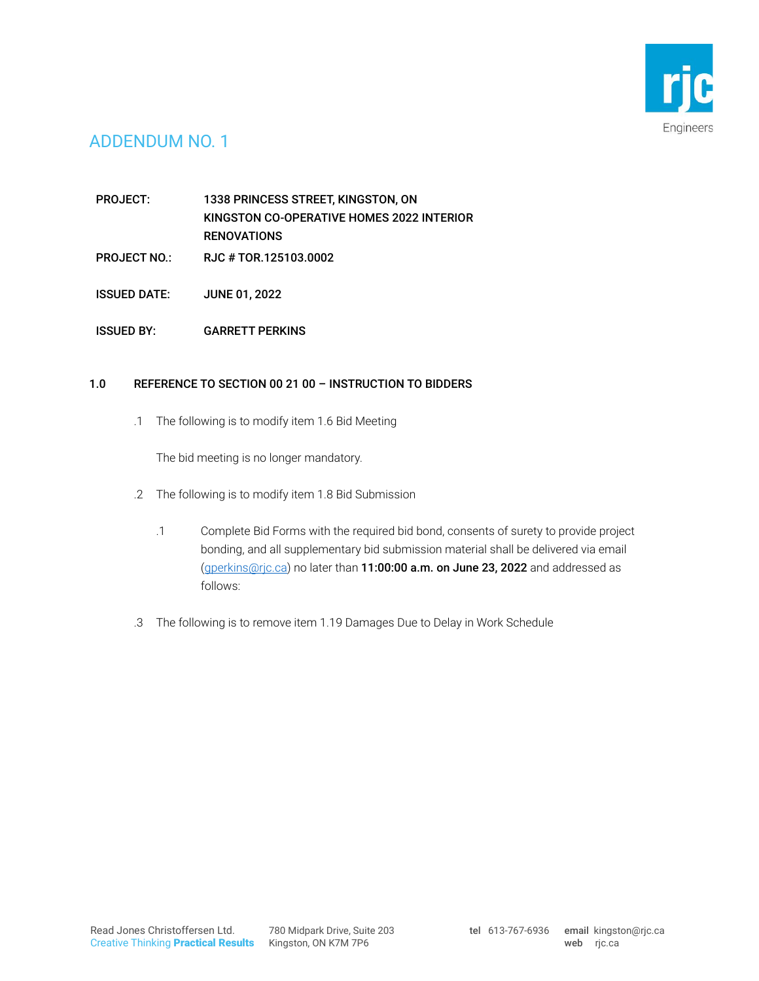

## ADDENDUM NO. 1

PROJECT: 1338 PRINCESS STREET, KINGSTON, ON KINGSTON CO-OPERATIVE HOMES 2022 INTERIOR **RENOVATIONS** 

- PROJECT NO.: RJC # TOR.125103.0002
- ISSUED DATE: JUNE 01, 2022
- ISSUED BY: GARRETT PERKINS

## 1.0 REFERENCE TO SECTION 00 21 00 – INSTRUCTION TO BIDDERS

.1 The following is to modify item 1.6 Bid Meeting

The bid meeting is no longer mandatory.

- .2 The following is to modify item 1.8 Bid Submission
	- .1 Complete Bid Forms with the required bid bond, consents of surety to provide project bonding, and all supplementary bid submission material shall be delivered via email [\(gperkins@rjc.ca\)](mailto:gperkins@rjc.ca) no later than 11:00:00 a.m. on June 23, 2022 and addressed as follows:
- .3 The following is to remove item 1.19 Damages Due to Delay in Work Schedule